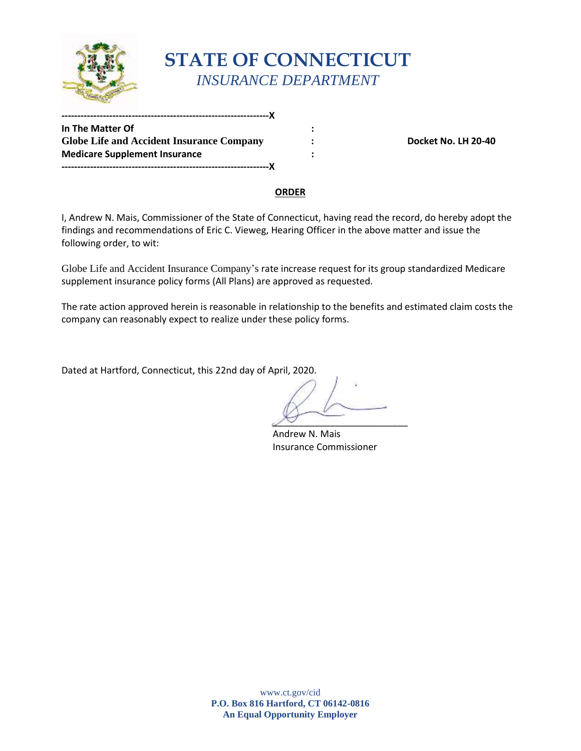

# **STATE OF CONNECTICUT**  *INSURANCE DEPARTMENT*

**In The Matter Of But a state of the state of the state of the state of the state of the state of the state of the state of the state of the state of the state of the state of the state of the state of the state of the Company 19 Clobe Life and Accident Insurance Company 19 Close 20 Close 20 Close No. LH 20-40 Medicare Supplement Insurance 1996 1997 1998 1997 1998 -----------------------------------------------------------------X** 

**-----------------------------------------------------------------X** 

#### **ORDER**

 following order, to wit: I, Andrew N. Mais, Commissioner of the State of Connecticut, having read the record, do hereby adopt the findings and recommendations of Eric C. Vieweg, Hearing Officer in the above matter and issue the

Globe Life and Accident Insurance Company's rate increase request for its group standardized Medicare supplement insurance policy forms (All Plans) are approved as requested.

 The rate action approved herein is reasonable in relationship to the benefits and estimated claim costs the company can reasonably expect to realize under these policy forms.

Dated at Hartford, Connecticut, this 22nd day of April, 2020.

 $\mathcal{P}$ 

Andrew N. Mais Insurance Commissioner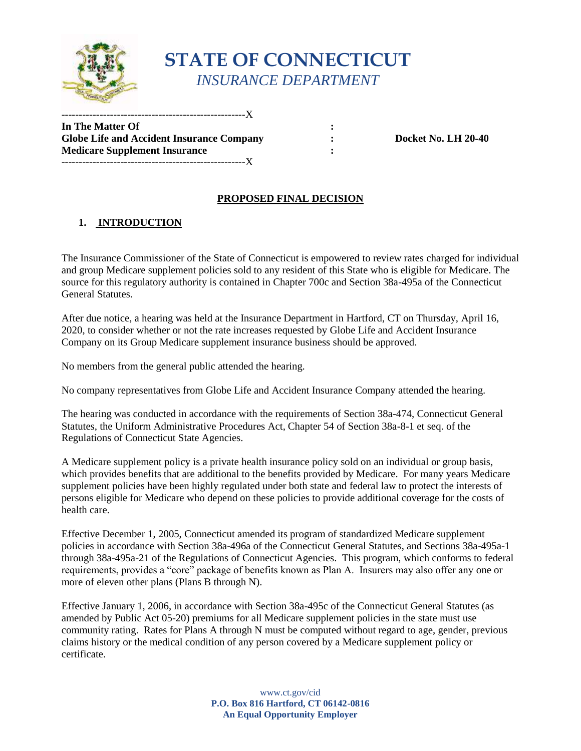

## **STATE OF CONNECTICUT**  *INSURANCE DEPARTMENT*

**In The Matter Of :**   $\cdot$  : **Globe Life and Accident Insurance Company**  $\cdot$  **: Docket No. LH 20-40 Medicare Supplement Insurance :**  $\qquad \qquad$  **:** -----------------------------------------------------X

----------------------- $\rm X$ 

### **PROPOSED FINAL DECISION**

### **1. INTRODUCTION**

 The Insurance Commissioner of the State of Connecticut is empowered to review rates charged for individual and group Medicare supplement policies sold to any resident of this State who is eligible for Medicare. The source for this regulatory authority is contained in Chapter 700c and Section 38a-495a of the Connecticut General Statutes.

After due notice, a hearing was held at the Insurance Department in Hartford, CT on Thursday, April 16, 2020, to consider whether or not the rate increases requested by Globe Life and Accident Insurance Company on its Group Medicare supplement insurance business should be approved.

No members from the general public attended the hearing.

No company representatives from Globe Life and Accident Insurance Company attended the hearing.

 Statutes, the Uniform Administrative Procedures Act, Chapter 54 of Section 38a-8-1 et seq. of the The hearing was conducted in accordance with the requirements of Section 38a-474, Connecticut General Regulations of Connecticut State Agencies.

 persons eligible for Medicare who depend on these policies to provide additional coverage for the costs of A Medicare supplement policy is a private health insurance policy sold on an individual or group basis, which provides benefits that are additional to the benefits provided by Medicare. For many years Medicare supplement policies have been highly regulated under both state and federal law to protect the interests of health care.

Effective December 1, 2005, Connecticut amended its program of standardized Medicare supplement policies in accordance with Section 38a-496a of the Connecticut General Statutes, and Sections 38a-495a-1 through 38a-495a-21 of the Regulations of Connecticut Agencies. This program, which conforms to federal requirements, provides a "core" package of benefits known as Plan A. Insurers may also offer any one or more of eleven other plans (Plans B through N).

 Effective January 1, 2006, in accordance with Section 38a-495c of the Connecticut General Statutes (as community rating. Rates for Plans A through N must be computed without regard to age, gender, previous amended by Public Act 05-20) premiums for all Medicare supplement policies in the state must use claims history or the medical condition of any person covered by a Medicare supplement policy or certificate.

> **P.O. Box 816 Hartford, CT 06142-0816**  www.ct.gov/cid **An Equal Opportunity Employer**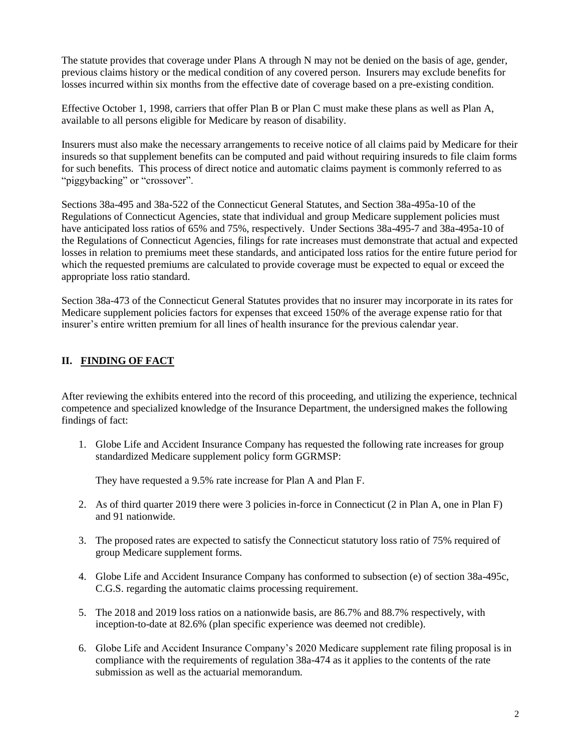previous claims history or the medical condition of any covered person. Insurers may exclude benefits for The statute provides that coverage under Plans A through N may not be denied on the basis of age, gender, losses incurred within six months from the effective date of coverage based on a pre-existing condition.

 available to all persons eligible for Medicare by reason of disability. Effective October 1, 1998, carriers that offer Plan B or Plan C must make these plans as well as Plan A,

 for such benefits. This process of direct notice and automatic claims payment is commonly referred to as Insurers must also make the necessary arrangements to receive notice of all claims paid by Medicare for their insureds so that supplement benefits can be computed and paid without requiring insureds to file claim forms "piggybacking" or "crossover".

Sections 38a-495 and 38a-522 of the Connecticut General Statutes, and Section 38a-495a-10 of the Regulations of Connecticut Agencies, state that individual and group Medicare supplement policies must have anticipated loss ratios of 65% and 75%, respectively. Under Sections 38a-495-7 and 38a-495a-10 of the Regulations of Connecticut Agencies, filings for rate increases must demonstrate that actual and expected losses in relation to premiums meet these standards, and anticipated loss ratios for the entire future period for which the requested premiums are calculated to provide coverage must be expected to equal or exceed the appropriate loss ratio standard.

 Section 38a-473 of the Connecticut General Statutes provides that no insurer may incorporate in its rates for Medicare supplement policies factors for expenses that exceed 150% of the average expense ratio for that insurer's entire written premium for all lines of health insurance for the previous calendar year.

### **II. FINDING OF FACT**

 findings of fact: After reviewing the exhibits entered into the record of this proceeding, and utilizing the experience, technical competence and specialized knowledge of the Insurance Department, the undersigned makes the following

 1. Globe Life and Accident Insurance Company has requested the following rate increases for group standardized Medicare supplement policy form GGRMSP:

They have requested a 9.5% rate increase for Plan A and Plan F.

- 2. As of third quarter 2019 there were 3 policies in-force in Connecticut (2 in Plan A, one in Plan F) and 91 nationwide.
- 3. The proposed rates are expected to satisfy the Connecticut statutory loss ratio of 75% required of group Medicare supplement forms.
- 4. Globe Life and Accident Insurance Company has conformed to subsection (e) of section 38a-495c, C.G.S. regarding the automatic claims processing requirement.
- 5. The 2018 and 2019 loss ratios on a nationwide basis, are 86.7% and 88.7% respectively, with inception-to-date at 82.6% (plan specific experience was deemed not credible).
- compliance with the requirements of regulation 38a-474 as it applies to the contents of the rate submission as well as the actuarial memorandum. 6. Globe Life and Accident Insurance Company's 2020 Medicare supplement rate filing proposal is in